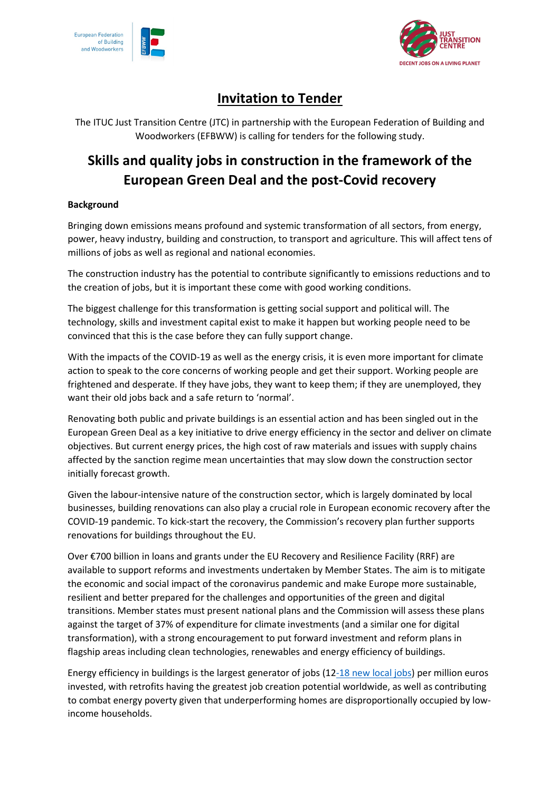



## **Invitation to Tender**

The ITUC Just Transition Centre (JTC) in partnership with the European Federation of Building and Woodworkers (EFBWW) is calling for tenders for the following study.

# **Skills and quality jobs in construction in the framework of the European Green Deal and the post-Covid recovery**

## **Background**

Bringing down emissions means profound and systemic transformation of all sectors, from energy, power, heavy industry, building and construction, to transport and agriculture. This will affect tens of millions of jobs as well as regional and national economies.

The construction industry has the potential to contribute significantly to emissions reductions and to the creation of jobs, but it is important these come with good working conditions.

The biggest challenge for this transformation is getting social support and political will. The technology, skills and investment capital exist to make it happen but working people need to be convinced that this is the case before they can fully support change.

With the impacts of the COVID-19 as well as the energy crisis, it is even more important for climate action to speak to the core concerns of working people and get their support. Working people are frightened and desperate. If they have jobs, they want to keep them; if they are unemployed, they want their old jobs back and a safe return to 'normal'.

Renovating both public and private buildings is an essential action and has been singled out in the European Green Deal as a key initiative to drive energy efficiency in the sector and deliver on climate objectives. But current energy prices, the high cost of raw materials and issues with supply chains affected by the sanction regime mean uncertainties that may slow down the construction sector initially forecast growth.

Given the labour-intensive nature of the construction sector, which is largely dominated by local businesses, building renovations can also play a crucial role in European economic recovery after the COVID-19 pandemic. To kick-start the recovery, the Commission's recovery plan further supports renovations for buildings throughout the EU.

Over €700 billion in loans and grants under the EU Recovery and Resilience Facility (RRF) are available to support reforms and investments undertaken by Member States. The aim is to mitigate the economic and social impact of the coronavirus pandemic and make Europe more sustainable, resilient and better prepared for the challenges and opportunities of the green and digital transitions. Member states must present national plans and the Commission will assess these plans against the target of 37% of expenditure for climate investments (and a similar one for digital transformation), with a strong encouragement to put forward investment and reform plans in flagship areas including clean technologies, renewables and energy efficiency of buildings.

Energy efficiency in buildings is the largest generator of jobs [\(12-18 new local jobs\)](https://www.iea.org/reports/sustainable-recovery) per million euros invested, with retrofits having the greatest job creation potential worldwide, as well as contributing to combat energy poverty given that underperforming homes are disproportionally occupied by lowincome households.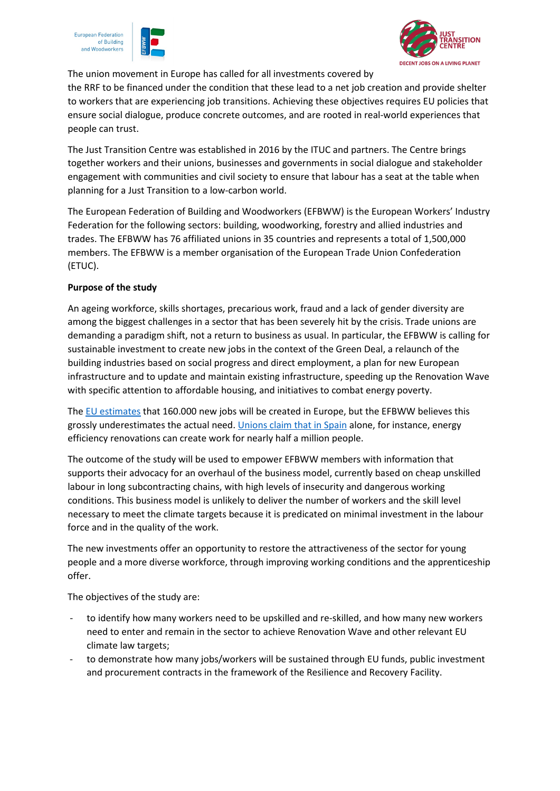





The union movement in Europe has called for all investments covered by

the RRF to be financed under the condition that these lead to a net job creation and provide shelter to workers that are experiencing job transitions. Achieving these objectives requires EU policies that ensure social dialogue, produce concrete outcomes, and are rooted in real-world experiences that people can trust.

The Just Transition Centre was established in 2016 by the ITUC and partners. The Centre brings together workers and their unions, businesses and governments in social dialogue and stakeholder engagement with communities and civil society to ensure that labour has a seat at the table when planning for a Just Transition to a low-carbon world.

The European Federation of Building and Woodworkers (EFBWW) is the European Workers' Industry Federation for the following sectors: building, woodworking, forestry and allied industries and trades. The EFBWW has 76 affiliated unions in 35 countries and represents a total of 1,500,000 members. The EFBWW is a member organisation of the European Trade Union Confederation (ETUC).

### **Purpose of the study**

An ageing workforce, skills shortages, precarious work, fraud and a lack of gender diversity are among the biggest challenges in a sector that has been severely hit by the crisis. Trade unions are demanding a paradigm shift, not a return to business as usual. In particular, the EFBWW is calling for sustainable investment to create new jobs in the context of the Green Deal, a relaunch of the building industries based on social progress and direct employment, a plan for new European infrastructure and to update and maintain existing infrastructure, speeding up the Renovation Wave with specific attention to affordable housing, and initiatives to combat energy poverty.

The [EU estimates](https://eur-lex.europa.eu/resource.html?uri=cellar:0638aa1d-0f02-11eb-bc07-01aa75ed71a1.0003.02/DOC_1&format=PDF) that 160.000 new jobs will be created in Europe, but the EFBWW believes this grossly underestimates the actual need. *Unions claim that in Spain* alone, for instance, energy efficiency renovations can create work for nearly half a million people.

The outcome of the study will be used to empower EFBWW members with information that supports their advocacy for an overhaul of the business model, currently based on cheap unskilled labour in long subcontracting chains, with high levels of insecurity and dangerous working conditions. This business model is unlikely to deliver the number of workers and the skill level necessary to meet the climate targets because it is predicated on minimal investment in the labour force and in the quality of the work.

The new investments offer an opportunity to restore the attractiveness of the sector for young people and a more diverse workforce, through improving working conditions and the apprenticeship offer.

The objectives of the study are:

- to identify how many workers need to be upskilled and re-skilled, and how many new workers need to enter and remain in the sector to achieve Renovation Wave and other relevant EU climate law targets;
- to demonstrate how many jobs/workers will be sustained through EU funds, public investment and procurement contracts in the framework of the Resilience and Recovery Facility.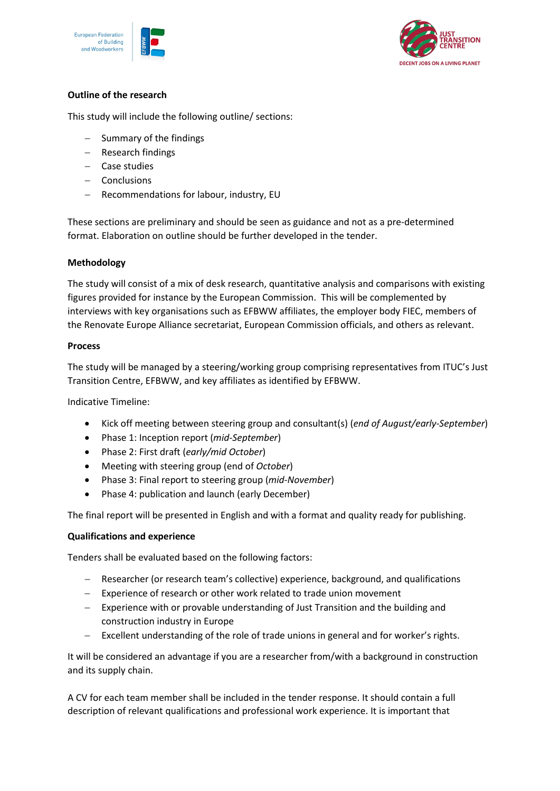



## **Outline of the research**

This study will include the following outline/ sections:

- − Summary of the findings
- − Research findings
- − Case studies
- − Conclusions
- − Recommendations for labour, industry, EU

These sections are preliminary and should be seen as guidance and not as a pre-determined format. Elaboration on outline should be further developed in the tender.

## **Methodology**

The study will consist of a mix of desk research, quantitative analysis and comparisons with existing figures provided for instance by the European Commission. This will be complemented by interviews with key organisations such as EFBWW affiliates, the employer body FIEC, members of the Renovate Europe Alliance secretariat, European Commission officials, and others as relevant.

#### **Process**

The study will be managed by a steering/working group comprising representatives from ITUC's Just Transition Centre, EFBWW, and key affiliates as identified by EFBWW.

Indicative Timeline:

- Kick off meeting between steering group and consultant(s) (*end of August/early-September*)
- Phase 1: Inception report (*mid-September*)
- Phase 2: First draft (*early/mid October*)
- Meeting with steering group (end of *October*)
- Phase 3: Final report to steering group (*mid-November*)
- Phase 4: publication and launch (early December)

The final report will be presented in English and with a format and quality ready for publishing.

#### **Qualifications and experience**

Tenders shall be evaluated based on the following factors:

- − Researcher (or research team's collective) experience, background, and qualifications
- − Experience of research or other work related to trade union movement
- − Experience with or provable understanding of Just Transition and the building and construction industry in Europe
- − Excellent understanding of the role of trade unions in general and for worker's rights.

It will be considered an advantage if you are a researcher from/with a background in construction and its supply chain.

A CV for each team member shall be included in the tender response. It should contain a full description of relevant qualifications and professional work experience. It is important that